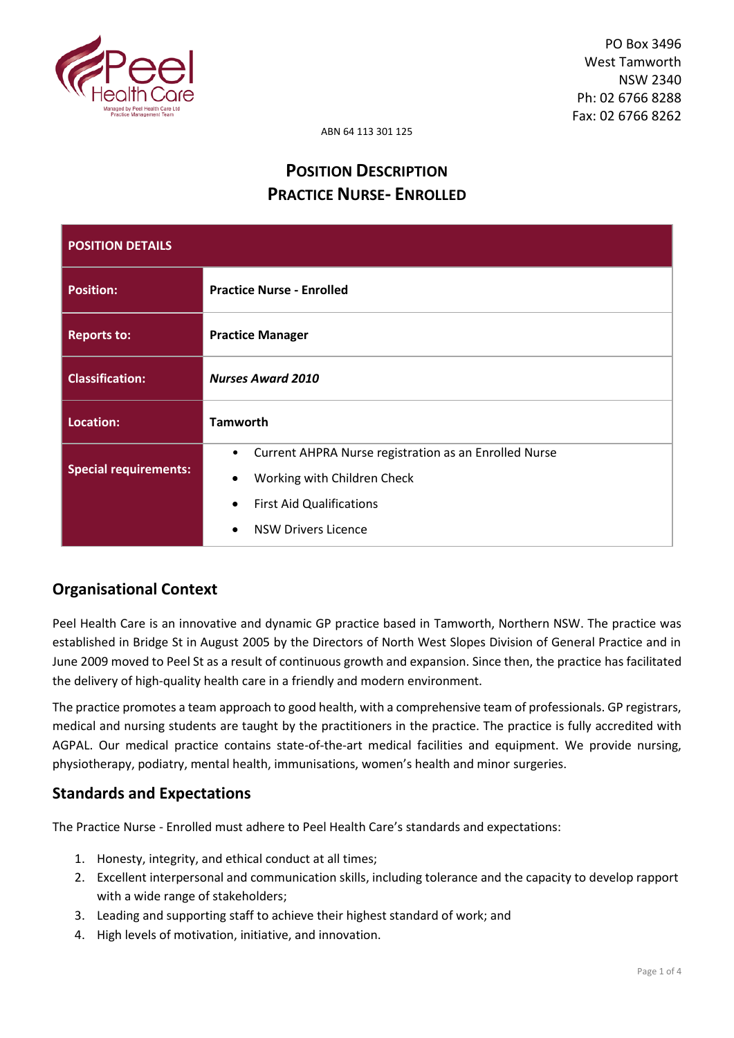

ABN 64 113 301 125

# **POSITION DESCRIPTION PRACTICE NURSE- ENROLLED**

| <b>POSITION DETAILS</b>      |                                                                                                                                                                                                           |  |
|------------------------------|-----------------------------------------------------------------------------------------------------------------------------------------------------------------------------------------------------------|--|
| <b>Position:</b>             | <b>Practice Nurse - Enrolled</b>                                                                                                                                                                          |  |
| <b>Reports to:</b>           | <b>Practice Manager</b>                                                                                                                                                                                   |  |
| <b>Classification:</b>       | <b>Nurses Award 2010</b>                                                                                                                                                                                  |  |
| Location:                    | <b>Tamworth</b>                                                                                                                                                                                           |  |
| <b>Special requirements:</b> | Current AHPRA Nurse registration as an Enrolled Nurse<br>$\bullet$<br>Working with Children Check<br>$\bullet$<br><b>First Aid Qualifications</b><br>$\bullet$<br><b>NSW Drivers Licence</b><br>$\bullet$ |  |

# **Organisational Context**

Peel Health Care is an innovative and dynamic GP practice based in Tamworth, Northern NSW. The practice was established in Bridge St in August 2005 by the Directors of North West Slopes Division of General Practice and in June 2009 moved to Peel St as a result of continuous growth and expansion. Since then, the practice has facilitated the delivery of high-quality health care in a friendly and modern environment.

The practice promotes a team approach to good health, with a comprehensive team of professionals. GP registrars, medical and nursing students are taught by the practitioners in the practice. The practice is fully accredited with AGPAL. Our medical practice contains state-of-the-art medical facilities and equipment. We provide nursing, physiotherapy, podiatry, mental health, immunisations, women's health and minor surgeries.

# **Standards and Expectations**

The Practice Nurse - Enrolled must adhere to Peel Health Care's standards and expectations:

- 1. Honesty, integrity, and ethical conduct at all times;
- 2. Excellent interpersonal and communication skills, including tolerance and the capacity to develop rapport with a wide range of stakeholders;
- 3. Leading and supporting staff to achieve their highest standard of work; and
- 4. High levels of motivation, initiative, and innovation.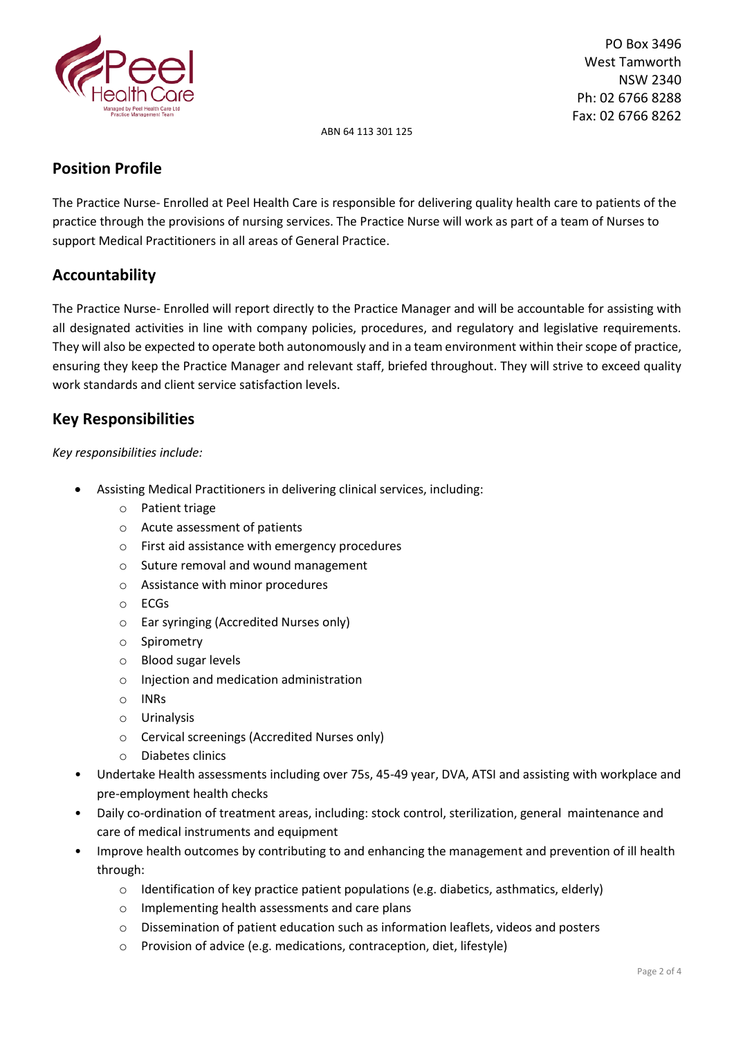

 PO Box 3496 West Tamworth NSW 2340 Ph: 02 6766 8288 Fax: 02 6766 8262

ABN 64 113 301 125

### **Position Profile**

The Practice Nurse- Enrolled at Peel Health Care is responsible for delivering quality health care to patients of the practice through the provisions of nursing services. The Practice Nurse will work as part of a team of Nurses to support Medical Practitioners in all areas of General Practice.

# **Accountability**

The Practice Nurse- Enrolled will report directly to the Practice Manager and will be accountable for assisting with all designated activities in line with company policies, procedures, and regulatory and legislative requirements. They will also be expected to operate both autonomously and in a team environment within their scope of practice, ensuring they keep the Practice Manager and relevant staff, briefed throughout. They will strive to exceed quality work standards and client service satisfaction levels.

# **Key Responsibilities**

### *Key responsibilities include:*

- Assisting Medical Practitioners in delivering clinical services, including:
	- o Patient triage
	- o Acute assessment of patients
	- o First aid assistance with emergency procedures
	- o Suture removal and wound management
	- o Assistance with minor procedures
	- o ECGs
	- o Ear syringing (Accredited Nurses only)
	- o Spirometry
	- o Blood sugar levels
	- o Injection and medication administration
	- o INRs
	- o Urinalysis
	- o Cervical screenings (Accredited Nurses only)
	- o Diabetes clinics
- Undertake Health assessments including over 75s, 45-49 year, DVA, ATSI and assisting with workplace and pre-employment health checks
- Daily co-ordination of treatment areas, including: stock control, sterilization, general maintenance and care of medical instruments and equipment
- Improve health outcomes by contributing to and enhancing the management and prevention of ill health through:
	- $\circ$  Identification of key practice patient populations (e.g. diabetics, asthmatics, elderly)
	- o Implementing health assessments and care plans
	- o Dissemination of patient education such as information leaflets, videos and posters
	- o Provision of advice (e.g. medications, contraception, diet, lifestyle)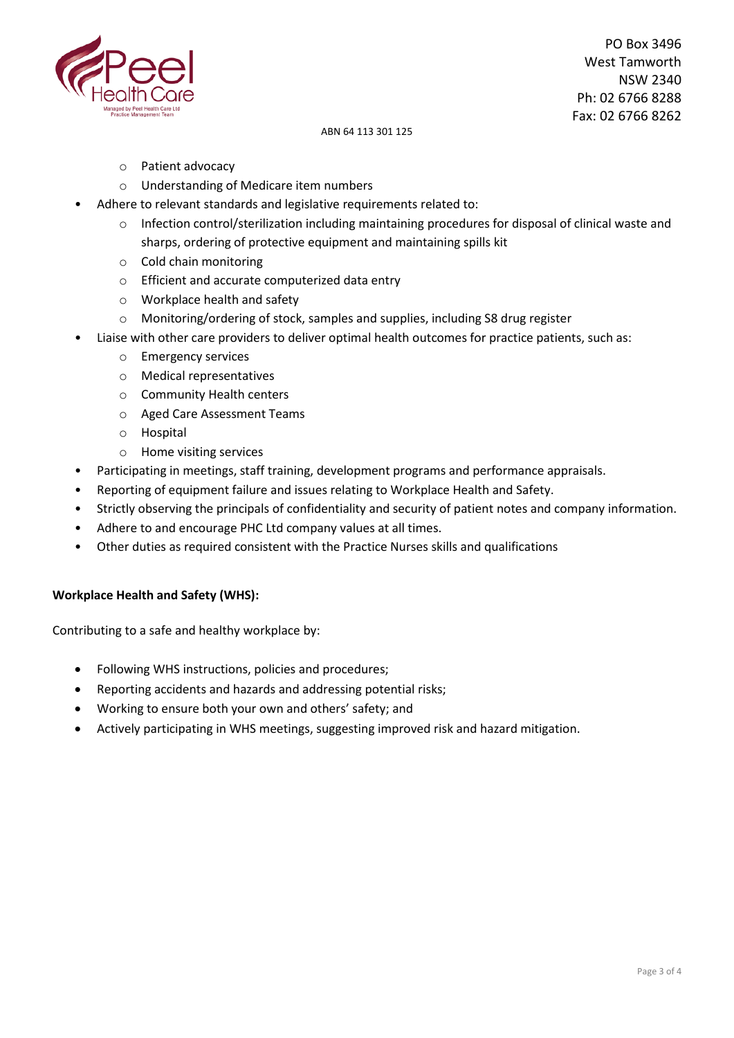

 PO Box 3496 West Tamworth NSW 2340 Ph: 02 6766 8288 Fax: 02 6766 8262

#### ABN 64 113 301 125

- o Patient advocacy
- o Understanding of Medicare item numbers
- Adhere to relevant standards and legislative requirements related to:
	- $\circ$  Infection control/sterilization including maintaining procedures for disposal of clinical waste and sharps, ordering of protective equipment and maintaining spills kit
	- o Cold chain monitoring
	- o Efficient and accurate computerized data entry
	- o Workplace health and safety
	- $\circ$  Monitoring/ordering of stock, samples and supplies, including S8 drug register
- Liaise with other care providers to deliver optimal health outcomes for practice patients, such as:
	- o Emergency services
	- o Medical representatives
	- o Community Health centers
	- o Aged Care Assessment Teams
	- o Hospital
	- o Home visiting services
- Participating in meetings, staff training, development programs and performance appraisals.
- Reporting of equipment failure and issues relating to Workplace Health and Safety.
- Strictly observing the principals of confidentiality and security of patient notes and company information.
- Adhere to and encourage PHC Ltd company values at all times.
- Other duties as required consistent with the Practice Nurses skills and qualifications

### **Workplace Health and Safety (WHS):**

Contributing to a safe and healthy workplace by:

- Following WHS instructions, policies and procedures;
- Reporting accidents and hazards and addressing potential risks;
- Working to ensure both your own and others' safety; and
- Actively participating in WHS meetings, suggesting improved risk and hazard mitigation.